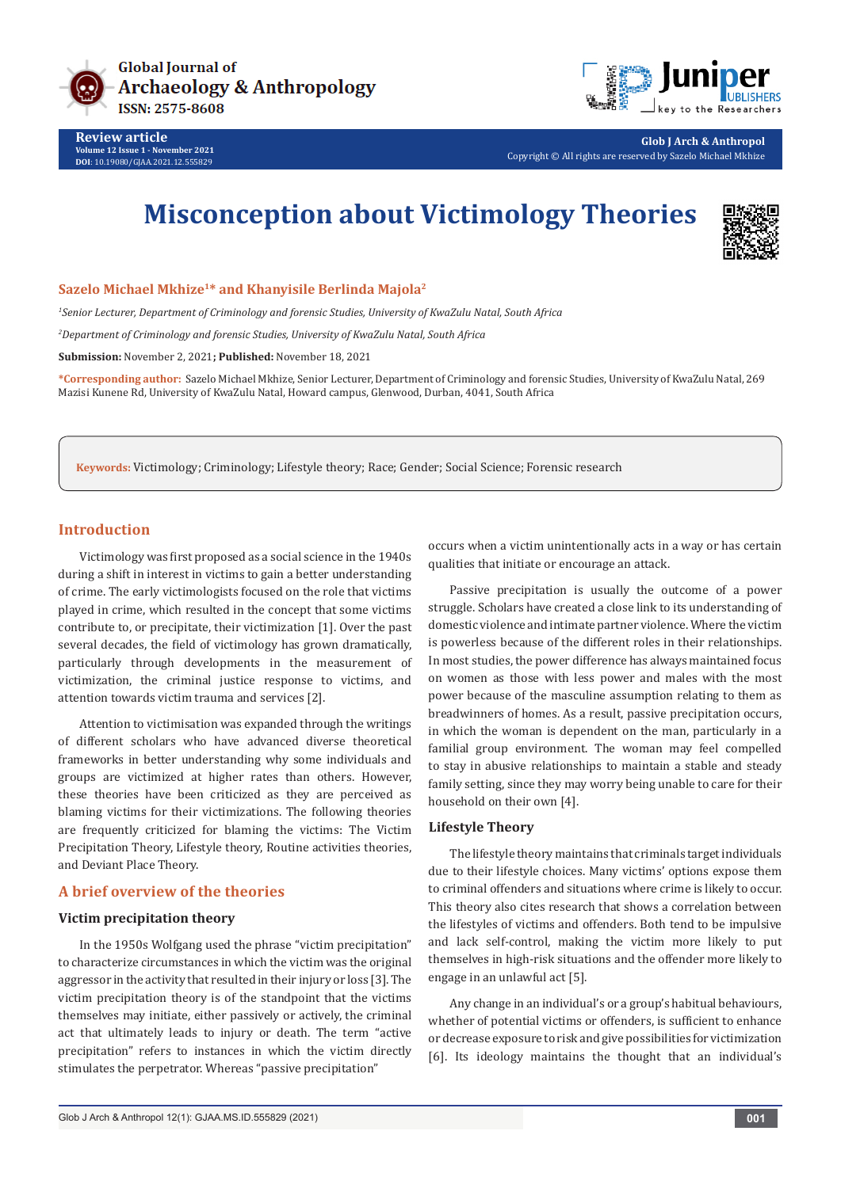



**Glob J Arch & Anthropol** Copyright © All rights are reserved by Sazelo Michael Mkhize

# **Misconception about Victimology Theories**



#### **Sazelo Michael Mkhize1\* and Khanyisile Berlinda Majola2**

*1 Senior Lecturer, Department of Criminology and forensic Studies, University of KwaZulu Natal, South Africa*

*2 Department of Criminology and forensic Studies, University of KwaZulu Natal, South Africa*

**Submission:** November 2, 2021**; Published:** November 18, 2021

**\*Corresponding author:** Sazelo Michael Mkhize, Senior Lecturer, Department of Criminology and forensic Studies, University of KwaZulu Natal, 269 Mazisi Kunene Rd, University of KwaZulu Natal, Howard campus, Glenwood, Durban, 4041, South Africa

**Keywords:** Victimology; Criminology; Lifestyle theory; Race; Gender; Social Science; Forensic research

## **Introduction**

Victimology was first proposed as a social science in the 1940s during a shift in interest in victims to gain a better understanding of crime. The early victimologists focused on the role that victims played in crime, which resulted in the concept that some victims contribute to, or precipitate, their victimization [1]. Over the past several decades, the field of victimology has grown dramatically, particularly through developments in the measurement of victimization, the criminal justice response to victims, and attention towards victim trauma and services [2].

Attention to victimisation was expanded through the writings of different scholars who have advanced diverse theoretical frameworks in better understanding why some individuals and groups are victimized at higher rates than others. However, these theories have been criticized as they are perceived as blaming victims for their victimizations. The following theories are frequently criticized for blaming the victims: The Victim Precipitation Theory, Lifestyle theory, Routine activities theories, and Deviant Place Theory.

### **A brief overview of the theories**

## **Victim precipitation theory**

In the 1950s Wolfgang used the phrase "victim precipitation" to characterize circumstances in which the victim was the original aggressor in the activity that resulted in their injury or loss [3]. The victim precipitation theory is of the standpoint that the victims themselves may initiate, either passively or actively, the criminal act that ultimately leads to injury or death. The term "active precipitation" refers to instances in which the victim directly stimulates the perpetrator. Whereas "passive precipitation"

occurs when a victim unintentionally acts in a way or has certain qualities that initiate or encourage an attack.

Passive precipitation is usually the outcome of a power struggle. Scholars have created a close link to its understanding of domestic violence and intimate partner violence. Where the victim is powerless because of the different roles in their relationships. In most studies, the power difference has always maintained focus on women as those with less power and males with the most power because of the masculine assumption relating to them as breadwinners of homes. As a result, passive precipitation occurs, in which the woman is dependent on the man, particularly in a familial group environment. The woman may feel compelled to stay in abusive relationships to maintain a stable and steady family setting, since they may worry being unable to care for their household on their own [4].

#### **Lifestyle Theory**

The lifestyle theory maintains that criminals target individuals due to their lifestyle choices. Many victims' options expose them to criminal offenders and situations where crime is likely to occur. This theory also cites research that shows a correlation between the lifestyles of victims and offenders. Both tend to be impulsive and lack self-control, making the victim more likely to put themselves in high-risk situations and the offender more likely to engage in an unlawful act [5].

Any change in an individual's or a group's habitual behaviours, whether of potential victims or offenders, is sufficient to enhance or decrease exposure to risk and give possibilities for victimization [6]. Its ideology maintains the thought that an individual's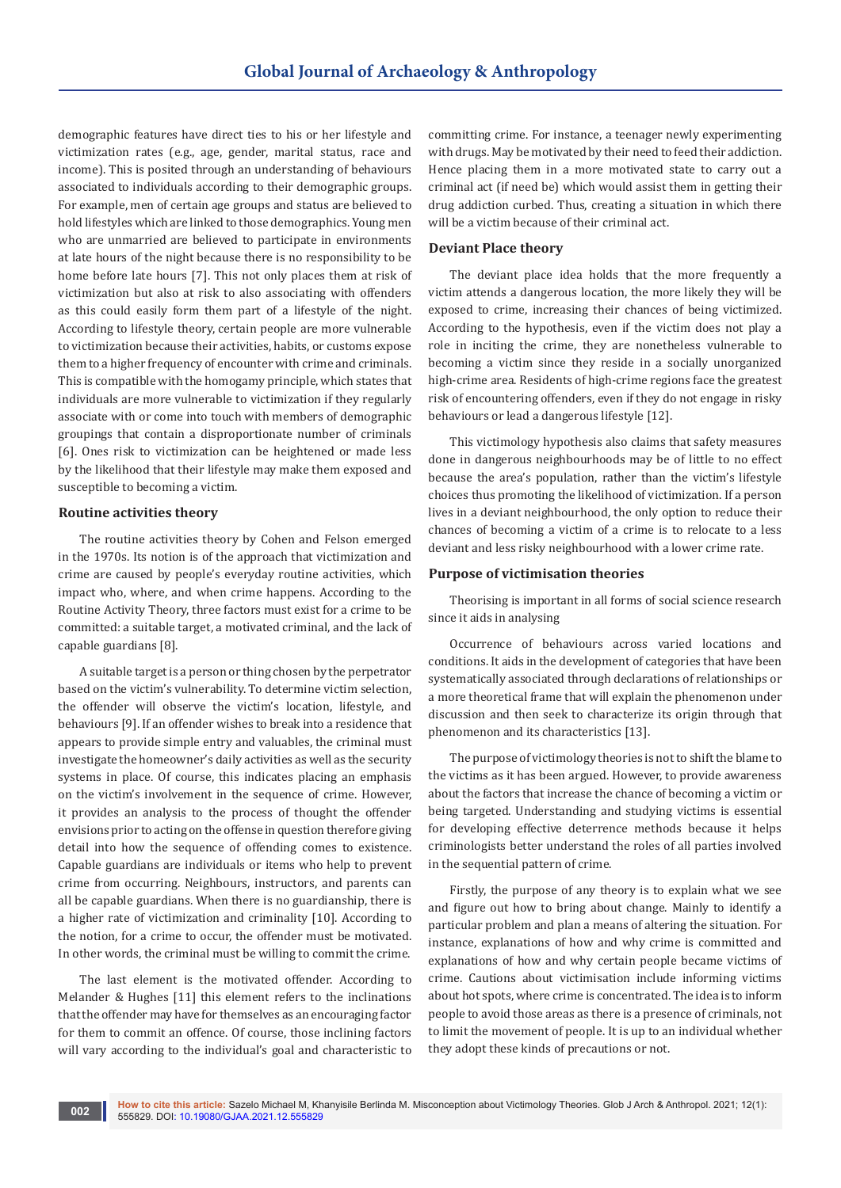demographic features have direct ties to his or her lifestyle and victimization rates (e.g., age, gender, marital status, race and income). This is posited through an understanding of behaviours associated to individuals according to their demographic groups. For example, men of certain age groups and status are believed to hold lifestyles which are linked to those demographics. Young men who are unmarried are believed to participate in environments at late hours of the night because there is no responsibility to be home before late hours [7]. This not only places them at risk of victimization but also at risk to also associating with offenders as this could easily form them part of a lifestyle of the night. According to lifestyle theory, certain people are more vulnerable to victimization because their activities, habits, or customs expose them to a higher frequency of encounter with crime and criminals. This is compatible with the homogamy principle, which states that individuals are more vulnerable to victimization if they regularly associate with or come into touch with members of demographic groupings that contain a disproportionate number of criminals [6]. Ones risk to victimization can be heightened or made less by the likelihood that their lifestyle may make them exposed and susceptible to becoming a victim.

#### **Routine activities theory**

The routine activities theory by Cohen and Felson emerged in the 1970s. Its notion is of the approach that victimization and crime are caused by people's everyday routine activities, which impact who, where, and when crime happens. According to the Routine Activity Theory, three factors must exist for a crime to be committed: a suitable target, a motivated criminal, and the lack of capable guardians [8].

A suitable target is a person or thing chosen by the perpetrator based on the victim's vulnerability. To determine victim selection, the offender will observe the victim's location, lifestyle, and behaviours [9]. If an offender wishes to break into a residence that appears to provide simple entry and valuables, the criminal must investigate the homeowner's daily activities as well as the security systems in place. Of course, this indicates placing an emphasis on the victim's involvement in the sequence of crime. However, it provides an analysis to the process of thought the offender envisions prior to acting on the offense in question therefore giving detail into how the sequence of offending comes to existence. Capable guardians are individuals or items who help to prevent crime from occurring. Neighbours, instructors, and parents can all be capable guardians. When there is no guardianship, there is a higher rate of victimization and criminality [10]. According to the notion, for a crime to occur, the offender must be motivated. In other words, the criminal must be willing to commit the crime.

The last element is the motivated offender. According to Melander & Hughes [11] this element refers to the inclinations that the offender may have for themselves as an encouraging factor for them to commit an offence. Of course, those inclining factors will vary according to the individual's goal and characteristic to

committing crime. For instance, a teenager newly experimenting with drugs. May be motivated by their need to feed their addiction. Hence placing them in a more motivated state to carry out a criminal act (if need be) which would assist them in getting their drug addiction curbed. Thus, creating a situation in which there will be a victim because of their criminal act.

#### **Deviant Place theory**

The deviant place idea holds that the more frequently a victim attends a dangerous location, the more likely they will be exposed to crime, increasing their chances of being victimized. According to the hypothesis, even if the victim does not play a role in inciting the crime, they are nonetheless vulnerable to becoming a victim since they reside in a socially unorganized high-crime area. Residents of high-crime regions face the greatest risk of encountering offenders, even if they do not engage in risky behaviours or lead a dangerous lifestyle [12].

This victimology hypothesis also claims that safety measures done in dangerous neighbourhoods may be of little to no effect because the area's population, rather than the victim's lifestyle choices thus promoting the likelihood of victimization. If a person lives in a deviant neighbourhood, the only option to reduce their chances of becoming a victim of a crime is to relocate to a less deviant and less risky neighbourhood with a lower crime rate.

#### **Purpose of victimisation theories**

Theorising is important in all forms of social science research since it aids in analysing

Occurrence of behaviours across varied locations and conditions. It aids in the development of categories that have been systematically associated through declarations of relationships or a more theoretical frame that will explain the phenomenon under discussion and then seek to characterize its origin through that phenomenon and its characteristics [13].

The purpose of victimology theories is not to shift the blame to the victims as it has been argued. However, to provide awareness about the factors that increase the chance of becoming a victim or being targeted. Understanding and studying victims is essential for developing effective deterrence methods because it helps criminologists better understand the roles of all parties involved in the sequential pattern of crime.

Firstly, the purpose of any theory is to explain what we see and figure out how to bring about change. Mainly to identify a particular problem and plan a means of altering the situation. For instance, explanations of how and why crime is committed and explanations of how and why certain people became victims of crime. Cautions about victimisation include informing victims about hot spots, where crime is concentrated. The idea is to inform people to avoid those areas as there is a presence of criminals, not to limit the movement of people. It is up to an individual whether they adopt these kinds of precautions or not.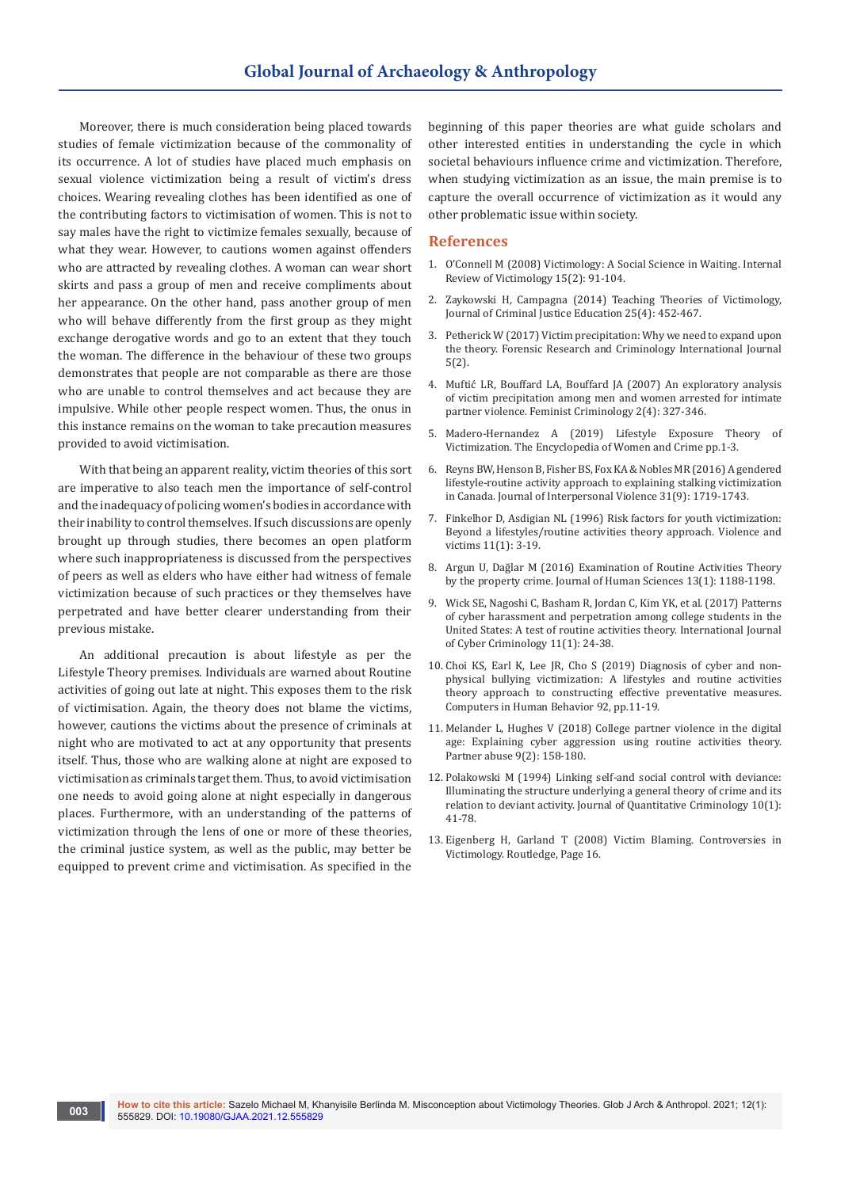Moreover, there is much consideration being placed towards studies of female victimization because of the commonality of its occurrence. A lot of studies have placed much emphasis on sexual violence victimization being a result of victim's dress choices. Wearing revealing clothes has been identified as one of the contributing factors to victimisation of women. This is not to say males have the right to victimize females sexually, because of what they wear. However, to cautions women against offenders who are attracted by revealing clothes. A woman can wear short skirts and pass a group of men and receive compliments about her appearance. On the other hand, pass another group of men who will behave differently from the first group as they might exchange derogative words and go to an extent that they touch the woman. The difference in the behaviour of these two groups demonstrates that people are not comparable as there are those who are unable to control themselves and act because they are impulsive. While other people respect women. Thus, the onus in this instance remains on the woman to take precaution measures provided to avoid victimisation.

With that being an apparent reality, victim theories of this sort are imperative to also teach men the importance of self-control and the inadequacy of policing women's bodies in accordance with their inability to control themselves. If such discussions are openly brought up through studies, there becomes an open platform where such inappropriateness is discussed from the perspectives of peers as well as elders who have either had witness of female victimization because of such practices or they themselves have perpetrated and have better clearer understanding from their previous mistake.

An additional precaution is about lifestyle as per the Lifestyle Theory premises. Individuals are warned about Routine activities of going out late at night. This exposes them to the risk of victimisation. Again, the theory does not blame the victims, however, cautions the victims about the presence of criminals at night who are motivated to act at any opportunity that presents itself. Thus, those who are walking alone at night are exposed to victimisation as criminals target them. Thus, to avoid victimisation one needs to avoid going alone at night especially in dangerous places. Furthermore, with an understanding of the patterns of victimization through the lens of one or more of these theories, the criminal justice system, as well as the public, may better be equipped to prevent crime and victimisation. As specified in the

**003**

beginning of this paper theories are what guide scholars and other interested entities in understanding the cycle in which societal behaviours influence crime and victimization. Therefore, when studying victimization as an issue, the main premise is to capture the overall occurrence of victimization as it would any other problematic issue within society.

#### **References**

- 1. [O'Connell M \(2008\) Victimology: A Social Science in Waiting. Internal](https://journals.sagepub.com/doi/10.1177/026975800801500202)  [Review of Victimology 15\(2\): 91-104.](https://journals.sagepub.com/doi/10.1177/026975800801500202)
- 2. [Zaykowski H, Campagna \(2014\) Teaching Theories of Victimology,](https://www.tandfonline.com/doi/abs/10.1080/10511253.2014.965410)  [Journal of Criminal Justice Education 25\(4\): 452-467.](https://www.tandfonline.com/doi/abs/10.1080/10511253.2014.965410)
- 3. Petherick W (2017) Victim precipitation: Why we need to expand upon the theory. Forensic Research and Criminology International Journal 5(2).
- 4. [Muftić LR, Bouffard LA, Bouffard JA \(2007\) An exploratory analysis](https://journals.sagepub.com/doi/10.1177/1557085107306429)  [of victim precipitation among men and women arrested for intimate](https://journals.sagepub.com/doi/10.1177/1557085107306429)  [partner violence. Feminist Criminology 2\(4\): 327-346.](https://journals.sagepub.com/doi/10.1177/1557085107306429)
- 5. [Madero-Hernandez A \(2019\) Lifestyle Exposure Theory of](https://onlinelibrary.wiley.com/doi/abs/10.1002/9781118929803.ewac0334)  [Victimization. The Encyclopedia of Women and Crime pp.1-3.](https://onlinelibrary.wiley.com/doi/abs/10.1002/9781118929803.ewac0334)
- 6. [Reyns BW, Henson B, Fisher BS, Fox KA & Nobles MR \(2016\) A gendered](https://journals.sagepub.com/doi/10.1177/0886260515569066)  [lifestyle-routine activity approach to explaining stalking victimization](https://journals.sagepub.com/doi/10.1177/0886260515569066)  [in Canada. Journal of Interpersonal Violence 31\(9\): 1719-1743.](https://journals.sagepub.com/doi/10.1177/0886260515569066)
- 7. [Finkelhor D, Asdigian NL \(1996\) Risk factors for youth victimization:](https://pubmed.ncbi.nlm.nih.gov/8870212/)  [Beyond a lifestyles/routine activities theory approach. Violence and](https://pubmed.ncbi.nlm.nih.gov/8870212/)  [victims 11\(1\): 3-19.](https://pubmed.ncbi.nlm.nih.gov/8870212/)
- 8. [Argun U, Dağlar M \(2016\) Examination of Routine Activities Theory](https://www.j-humansciences.com/ojs/index.php/IJHS/article/view/3665)  [by the property crime. Journal of Human Sciences 13\(1\): 1188-1198.](https://www.j-humansciences.com/ojs/index.php/IJHS/article/view/3665)
- 9. [Wick SE, Nagoshi C, Basham R, Jordan C, Kim YK, et al. \(2017\) Patterns](https://www.cybercrimejournal.com/Wicketallvol11issue1IJCC2017.pdf)  [of cyber harassment and perpetration among college students in the](https://www.cybercrimejournal.com/Wicketallvol11issue1IJCC2017.pdf)  [United States: A test of routine activities theory. International Journal](https://www.cybercrimejournal.com/Wicketallvol11issue1IJCC2017.pdf)  [of Cyber Criminology 11\(1\): 24-38.](https://www.cybercrimejournal.com/Wicketallvol11issue1IJCC2017.pdf)
- 10. [Choi KS, Earl K, Lee JR, Cho S \(2019\) Diagnosis of cyber and non](https://www.sciencedirect.com/science/article/abs/pii/S0747563218304989)[physical bullying victimization: A lifestyles and routine activities](https://www.sciencedirect.com/science/article/abs/pii/S0747563218304989)  [theory approach to constructing effective preventative measures.](https://www.sciencedirect.com/science/article/abs/pii/S0747563218304989)  [Computers in Human Behavior 92, pp.11-19.](https://www.sciencedirect.com/science/article/abs/pii/S0747563218304989)
- 11. Melander L, Hughes V (2018) College partner violence in the digital age: Explaining cyber aggression using routine activities theory. Partner abuse 9(2): 158-180.
- 12. [Polakowski M \(1994\) Linking self-and social control with deviance:](https://www.jstor.org/stable/23365767)  [Illuminating the structure underlying a general theory of crime and its](https://www.jstor.org/stable/23365767)  [relation to deviant activity. Journal of Quantitative Criminology 10\(1\):](https://www.jstor.org/stable/23365767)  [41-78.](https://www.jstor.org/stable/23365767)
- 13. Eigenberg H, Garland T (2008) Victim Blaming. Controversies in Victimology. Routledge, Page 16.